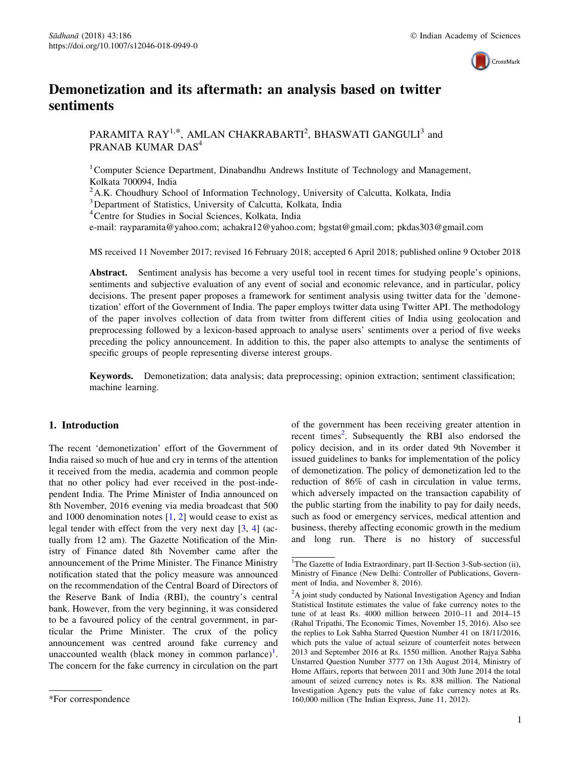

# Demonetization and its aftermath: an analysis based on twitter sentiments

PARAMITA RAY<sup>1,\*</sup>, AMLAN CHAKRABARTI<sup>2</sup>, BHASWATI GANGULI<sup>3</sup> and PRANAB KUMAR DAS4

<sup>1</sup> Computer Science Department, Dinabandhu Andrews Institute of Technology and Management, Kolkata 700094, India

<sup>2</sup> A.K. Choudhury School of Information Technology, University of Calcutta, Kolkata, India

<sup>3</sup>Department of Statistics, University of Calcutta, Kolkata, India

4 Centre for Studies in Social Sciences, Kolkata, India

e-mail: rayparamita@yahoo.com; achakra12@yahoo.com; bgstat@gmail.com; pkdas303@gmail.com

MS received 11 November 2017; revised 16 February 2018; accepted 6 April 2018; published online 9 October 2018

Abstract. Sentiment analysis has become a very useful tool in recent times for studying people's opinions, sentiments and subjective evaluation of any event of social and economic relevance, and in particular, policy decisions. The present paper proposes a framework for sentiment analysis using twitter data for the 'demonetization' effort of the Government of India. The paper employs twitter data using Twitter API. The methodology of the paper involves collection of data from twitter from different cities of India using geolocation and preprocessing followed by a lexicon-based approach to analyse users' sentiments over a period of five weeks preceding the policy announcement. In addition to this, the paper also attempts to analyse the sentiments of specific groups of people representing diverse interest groups.

Keywords. Demonetization; data analysis; data preprocessing; opinion extraction; sentiment classification; machine learning.

## 1. Introduction

The recent 'demonetization' effort of the Government of India raised so much of hue and cry in terms of the attention it received from the media, academia and common people that no other policy had ever received in the post-independent India. The Prime Minister of India announced on 8th November, 2016 evening via media broadcast that 500 and 1000 denomination notes  $[1, 2]$  $[1, 2]$  $[1, 2]$  would cease to exist as legal tender with effect from the very next day [\[3](#page-8-0), [4](#page-8-0)] (actually from 12 am). The Gazette Notification of the Ministry of Finance dated 8th November came after the announcement of the Prime Minister. The Finance Ministry notification stated that the policy measure was announced on the recommendation of the Central Board of Directors of the Reserve Bank of India (RBI), the country's central bank. However, from the very beginning, it was considered to be a favoured policy of the central government, in particular the Prime Minister. The crux of the policy announcement was centred around fake currency and unaccounted wealth (black money in common parlance)<sup>1</sup>. The concern for the fake currency in circulation on the part of the government has been receiving greater attention in recent times<sup>2</sup>. Subsequently the RBI also endorsed the policy decision, and in its order dated 9th November it issued guidelines to banks for implementation of the policy of demonetization. The policy of demonetization led to the reduction of 86% of cash in circulation in value terms, which adversely impacted on the transaction capability of the public starting from the inability to pay for daily needs, such as food or emergency services, medical attention and business, thereby affecting economic growth in the medium and long run. There is no history of successful

<sup>\*</sup>For correspondence

<sup>&</sup>lt;sup>1</sup>The Gazette of India Extraordinary, part II-Section 3-Sub-section (ii), Ministry of Finance (New Delhi: Controller of Publications, Government of India, and November 8, 2016).

<sup>&</sup>lt;sup>2</sup>A joint study conducted by National Investigation Agency and Indian Statistical Institute estimates the value of fake currency notes to the tune of at least Rs. 4000 million between 2010–11 and 2014–15 (Rahul Tripathi, The Economic Times, November 15, 2016). Also see the replies to Lok Sabha Starred Question Number 41 on 18/11/2016, which puts the value of actual seizure of counterfeit notes between 2013 and September 2016 at Rs. 1550 million. Another Rajya Sabha Unstarred Question Number 3777 on 13th August 2014, Ministry of Home Affairs, reports that between 2011 and 30th June 2014 the total amount of seized currency notes is Rs. 838 million. The National Investigation Agency puts the value of fake currency notes at Rs. 160,000 million (The Indian Express, June 11, 2012).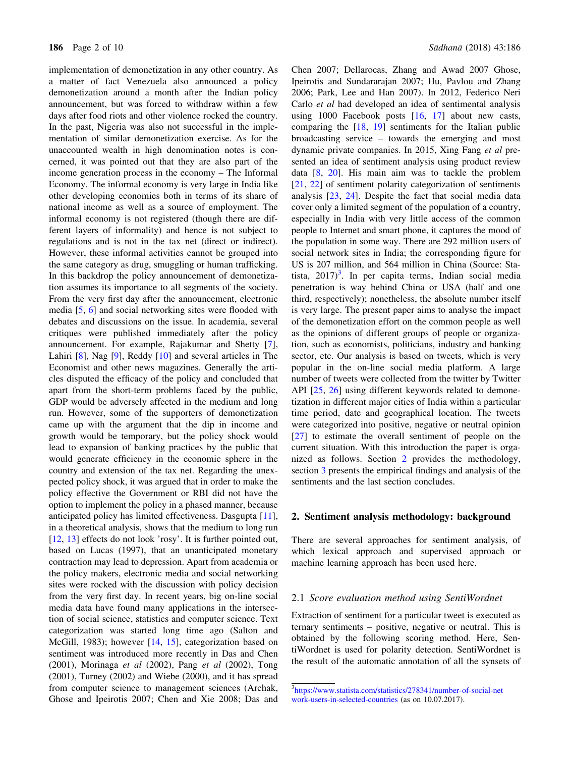implementation of demonetization in any other country. As a matter of fact Venezuela also announced a policy demonetization around a month after the Indian policy announcement, but was forced to withdraw within a few days after food riots and other violence rocked the country. In the past, Nigeria was also not successful in the implementation of similar demonetization exercise. As for the unaccounted wealth in high denomination notes is concerned, it was pointed out that they are also part of the income generation process in the economy – The Informal Economy. The informal economy is very large in India like other developing economies both in terms of its share of national income as well as a source of employment. The informal economy is not registered (though there are different layers of informality) and hence is not subject to regulations and is not in the tax net (direct or indirect). However, these informal activities cannot be grouped into the same category as drug, smuggling or human trafficking. In this backdrop the policy announcement of demonetization assumes its importance to all segments of the society. From the very first day after the announcement, electronic media [[5,](#page-8-0) [6](#page-8-0)] and social networking sites were flooded with debates and discussions on the issue. In academia, several critiques were published immediately after the policy announcement. For example, Rajakumar and Shetty [[7\]](#page-8-0), Lahiri [\[8](#page-8-0)], Nag [\[9](#page-8-0)], Reddy [[10\]](#page-8-0) and several articles in The Economist and other news magazines. Generally the articles disputed the efficacy of the policy and concluded that apart from the short-term problems faced by the public, GDP would be adversely affected in the medium and long run. However, some of the supporters of demonetization came up with the argument that the dip in income and growth would be temporary, but the policy shock would lead to expansion of banking practices by the public that would generate efficiency in the economic sphere in the country and extension of the tax net. Regarding the unexpected policy shock, it was argued that in order to make the policy effective the Government or RBI did not have the option to implement the policy in a phased manner, because anticipated policy has limited effectiveness. Dasgupta [[11\]](#page-8-0), in a theoretical analysis, shows that the medium to long run [\[12](#page-8-0), [13\]](#page-8-0) effects do not look 'rosy'. It is further pointed out, based on Lucas (1997), that an unanticipated monetary contraction may lead to depression. Apart from academia or the policy makers, electronic media and social networking sites were rocked with the discussion with policy decision from the very first day. In recent years, big on-line social media data have found many applications in the intersection of social science, statistics and computer science. Text categorization was started long time ago (Salton and McGill, 1983); however [[14,](#page-9-0) [15\]](#page-9-0), categorization based on sentiment was introduced more recently in Das and Chen (2001), Morinaga et al (2002), Pang et al (2002), Tong (2001), Turney (2002) and Wiebe (2000), and it has spread from computer science to management sciences (Archak, Ghose and Ipeirotis 2007; Chen and Xie 2008; Das and

Chen 2007; Dellarocas, Zhang and Awad 2007 Ghose, Ipeirotis and Sundararajan 2007; Hu, Pavlou and Zhang 2006; Park, Lee and Han 2007). In 2012, Federico Neri Carlo et al had developed an idea of sentimental analysis using 1000 Facebook posts  $[16, 17]$  $[16, 17]$  $[16, 17]$  about new casts, comparing the [[18,](#page-9-0) [19\]](#page-9-0) sentiments for the Italian public broadcasting service – towards the emerging and most dynamic private companies. In 2015, Xing Fang et al presented an idea of sentiment analysis using product review data  $[8, 20]$  $[8, 20]$  $[8, 20]$  $[8, 20]$ . His main aim was to tackle the problem [\[21](#page-9-0), [22\]](#page-9-0) of sentiment polarity categorization of sentiments analysis [[23,](#page-9-0) [24](#page-9-0)]. Despite the fact that social media data cover only a limited segment of the population of a country, especially in India with very little access of the common people to Internet and smart phone, it captures the mood of the population in some way. There are 292 million users of social network sites in India; the corresponding figure for US is 207 million, and 564 million in China (Source: Statista,  $2017$ <sup>3</sup>. In per capita terms, Indian social media penetration is way behind China or USA (half and one third, respectively); nonetheless, the absolute number itself is very large. The present paper aims to analyse the impact of the demonetization effort on the common people as well as the opinions of different groups of people or organization, such as economists, politicians, industry and banking sector, etc. Our analysis is based on tweets, which is very popular in the on-line social media platform. A large number of tweets were collected from the twitter by Twitter API [[25,](#page-9-0) [26\]](#page-9-0) using different keywords related to demonetization in different major cities of India within a particular time period, date and geographical location. The tweets were categorized into positive, negative or neutral opinion [\[27](#page-9-0)] to estimate the overall sentiment of people on the current situation. With this introduction the paper is organized as follows. Section 2 provides the methodology, section [3](#page-3-0) presents the empirical findings and analysis of the sentiments and the last section concludes.

## 2. Sentiment analysis methodology: background

There are several approaches for sentiment analysis, of which lexical approach and supervised approach or machine learning approach has been used here.

#### 2.1 Score evaluation method using SentiWordnet

Extraction of sentiment for a particular tweet is executed as ternary sentiments – positive, negative or neutral. This is obtained by the following scoring method. Here, SentiWordnet is used for polarity detection. SentiWordnet is the result of the automatic annotation of all the synsets of

<sup>3</sup> [https://www.statista.com/statistics/278341/number-of-social-net](https://www.statista.com/statistics/278341/number-of-social-network-users-in-selected-countries) [work-users-in-selected-countries](https://www.statista.com/statistics/278341/number-of-social-network-users-in-selected-countries) (as on 10.07.2017).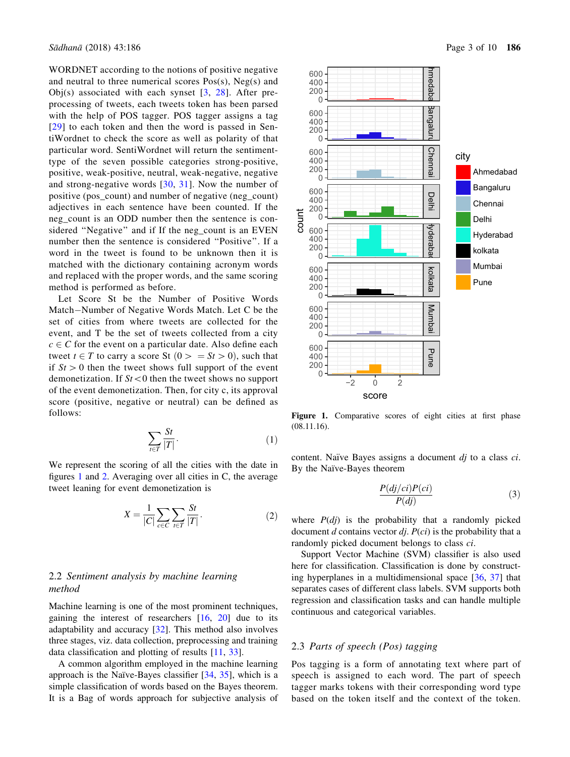<span id="page-2-0"></span>WORDNET according to the notions of positive negative and neutral to three numerical scores Pos(s), Neg(s) and Obj(s) associated with each synset  $[3, 28]$  $[3, 28]$  $[3, 28]$  $[3, 28]$ . After preprocessing of tweets, each tweets token has been parsed with the help of POS tagger. POS tagger assigns a tag [[29\]](#page-9-0) to each token and then the word is passed in SentiWordnet to check the score as well as polarity of that particular word. SentiWordnet will return the sentimenttype of the seven possible categories strong-positive, positive, weak-positive, neutral, weak-negative, negative and strong-negative words [[30,](#page-9-0) [31](#page-9-0)]. Now the number of positive (pos\_count) and number of negative (neg\_count) adjectives in each sentence have been counted. If the neg\_count is an ODD number then the sentence is considered "Negative" and if If the neg\_count is an EVEN number then the sentence is considered ''Positive''. If a word in the tweet is found to be unknown then it is matched with the dictionary containing acronym words and replaced with the proper words, and the same scoring method is performed as before.

Let Score St be the Number of Positive Words Match-Number of Negative Words Match. Let C be the set of cities from where tweets are collected for the event, and T be the set of tweets collected from a city  $c \in C$  for the event on a particular date. Also define each tweet  $t \in T$  to carry a score St  $(0 > St > 0)$ , such that if  $St > 0$  then the tweet shows full support of the event demonetization. If  $St\lt 0$  then the tweet shows no support of the event demonetization. Then, for city c, its approval score (positive, negative or neutral) can be defined as follows:

$$
\sum_{t \in T} \frac{St}{|T|}.\tag{1}
$$

We represent the scoring of all the cities with the date in figures 1 and [2.](#page-3-0) Averaging over all cities in C, the average tweet leaning for event demonetization is

$$
X = \frac{1}{|C|} \sum_{c \in C} \sum_{t \in T} \frac{St}{|T|}.
$$
 (2)

## 2.2 Sentiment analysis by machine learning method

Machine learning is one of the most prominent techniques, gaining the interest of researchers  $[16, 20]$  $[16, 20]$  $[16, 20]$  due to its adaptability and accuracy [[32\]](#page-9-0). This method also involves three stages, viz. data collection, preprocessing and training data classification and plotting of results [\[11](#page-8-0), [33](#page-9-0)].

A common algorithm employed in the machine learning approach is the Naïve-Bayes classifier  $[34, 35]$  $[34, 35]$  $[34, 35]$  $[34, 35]$  $[34, 35]$ , which is a simple classification of words based on the Bayes theorem. It is a Bag of words approach for subjective analysis of



Figure 1. Comparative scores of eight cities at first phase (08.11.16).

content. Naïve Bayes assigns a document  $dj$  to a class  $ci$ . By the Naïve-Bayes theorem

$$
\frac{P(dj/ci)P(ci)}{P(dj)}
$$
\n(3)

where  $P(dj)$  is the probability that a randomly picked document  $d$  contains vector  $dj$ .  $P(cl)$  is the probability that a randomly picked document belongs to class ci.

Support Vector Machine (SVM) classifier is also used here for classification. Classification is done by constructing hyperplanes in a multidimensional space [[36,](#page-9-0) [37](#page-9-0)] that separates cases of different class labels. SVM supports both regression and classification tasks and can handle multiple continuous and categorical variables.

## 2.3 Parts of speech (Pos) tagging

Pos tagging is a form of annotating text where part of speech is assigned to each word. The part of speech tagger marks tokens with their corresponding word type based on the token itself and the context of the token.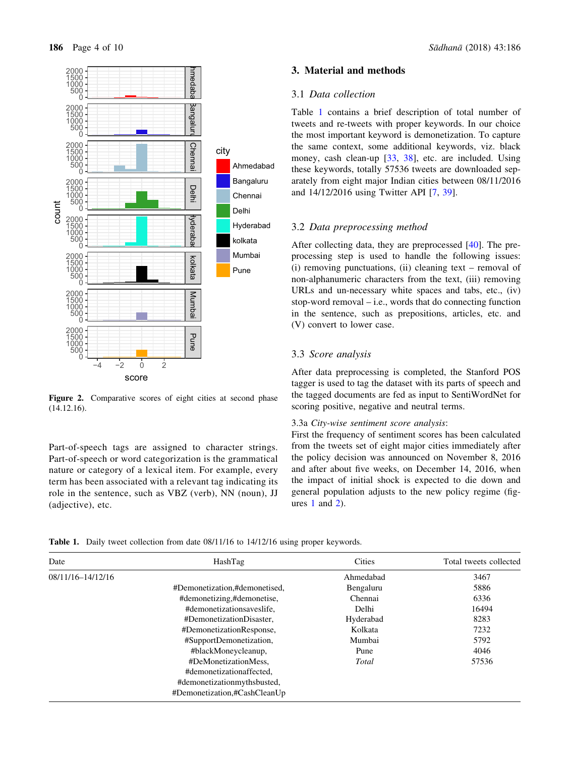<span id="page-3-0"></span>

Figure 2. Comparative scores of eight cities at second phase (14.12.16).

Part-of-speech tags are assigned to character strings. Part-of-speech or word categorization is the grammatical nature or category of a lexical item. For example, every term has been associated with a relevant tag indicating its role in the sentence, such as VBZ (verb), NN (noun), JJ (adjective), etc.

#### 3. Material and methods

## 3.1 Data collection

Table 1 contains a brief description of total number of tweets and re-tweets with proper keywords. In our choice the most important keyword is demonetization. To capture the same context, some additional keywords, viz. black money, cash clean-up [[33,](#page-9-0) [38\]](#page-9-0), etc. are included. Using these keywords, totally 57536 tweets are downloaded separately from eight major Indian cities between 08/11/2016 and 14/12/2016 using Twitter API [[7,](#page-8-0) [39\]](#page-9-0).

#### 3.2 Data preprocessing method

After collecting data, they are preprocessed [[40\]](#page-9-0). The preprocessing step is used to handle the following issues: (i) removing punctuations, (ii) cleaning text – removal of non-alphanumeric characters from the text, (iii) removing URLs and un-necessary white spaces and tabs, etc., (iv) stop-word removal – i.e., words that do connecting function in the sentence, such as prepositions, articles, etc. and (V) convert to lower case.

## 3.3 Score analysis

After data preprocessing is completed, the Stanford POS tagger is used to tag the dataset with its parts of speech and the tagged documents are fed as input to SentiWordNet for scoring positive, negative and neutral terms.

#### 3.3a City-wise sentiment score analysis:

First the frequency of sentiment scores has been calculated from the tweets set of eight major cities immediately after the policy decision was announced on November 8, 2016 and after about five weeks, on December 14, 2016, when the impact of initial shock is expected to die down and general population adjusts to the new policy regime (figures [1](#page-2-0) and 2).

Table 1. Daily tweet collection from date 08/11/16 to 14/12/16 using proper keywords.

| Date              | HashTag                       | Cities    | Total tweets collected |
|-------------------|-------------------------------|-----------|------------------------|
| 08/11/16-14/12/16 |                               | Ahmedabad | 3467                   |
|                   | #Demonetization,#demonetised, | Bengaluru | 5886                   |
|                   | #demonetizing,#demonetise,    | Chennai   | 6336                   |
|                   | #demonetizationsaveslife,     | Delhi     | 16494                  |
|                   | #DemonetizationDisaster.      | Hyderabad | 8283                   |
|                   | #DemonetizationResponse,      | Kolkata   | 7232                   |
|                   | #SupportDemonetization,       | Mumbai    | 5792                   |
|                   | #blackMoneycleanup,           | Pune      | 4046                   |
|                   | #DeMonetizationMess.          | Total     | 57536                  |
|                   | #demonetizationaffected.      |           |                        |
|                   | #demonetizationmythsbusted,   |           |                        |
|                   | #Demonetization,#CashCleanUp  |           |                        |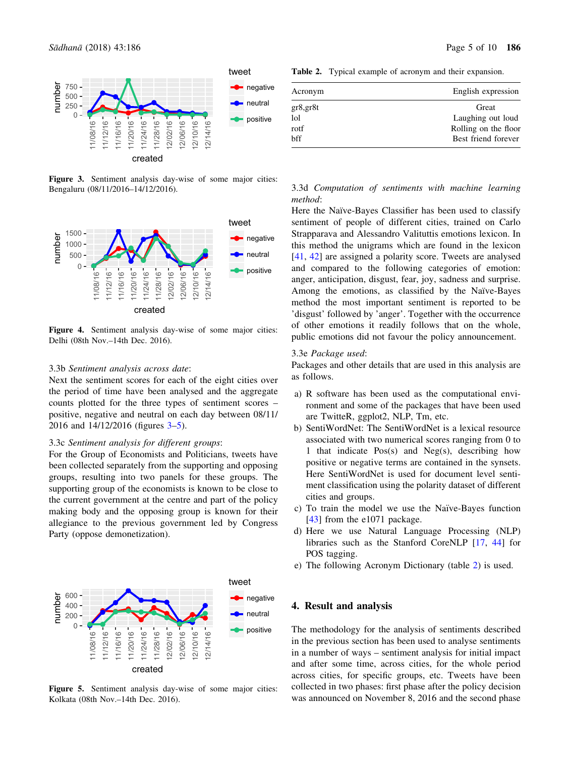<span id="page-4-0"></span>

Figure 3. Sentiment analysis day-wise of some major cities: Bengaluru (08/11/2016–14/12/2016).



Figure 4. Sentiment analysis day-wise of some major cities: Delhi (08th Nov.–14th Dec. 2016).

#### 3.3b Sentiment analysis across date:

Next the sentiment scores for each of the eight cities over the period of time have been analysed and the aggregate counts plotted for the three types of sentiment scores – positive, negative and neutral on each day between 08/11/ 2016 and 14/12/2016 (figures 3–5).

## 3.3c Sentiment analysis for different groups:

For the Group of Economists and Politicians, tweets have been collected separately from the supporting and opposing groups, resulting into two panels for these groups. The supporting group of the economists is known to be close to the current government at the centre and part of the policy making body and the opposing group is known for their allegiance to the previous government led by Congress Party (oppose demonetization).



Figure 5. Sentiment analysis day-wise of some major cities: Kolkata (08th Nov.–14th Dec. 2016).

Table 2. Typical example of acronym and their expansion.

| Acronym   | English expression   |
|-----------|----------------------|
| gr8, gr8t | Great                |
| lol       | Laughing out loud    |
| rotf      | Rolling on the floor |
| hff       | Best friend forever  |

## 3.3d Computation of sentiments with machine learning method:

Here the Naïve-Bayes Classifier has been used to classify sentiment of people of different cities, trained on Carlo Strapparava and Alessandro Valituttis emotions lexicon. In this method the unigrams which are found in the lexicon [\[41](#page-9-0), [42\]](#page-9-0) are assigned a polarity score. Tweets are analysed and compared to the following categories of emotion: anger, anticipation, disgust, fear, joy, sadness and surprise. Among the emotions, as classified by the Naïve-Bayes method the most important sentiment is reported to be 'disgust' followed by 'anger'. Together with the occurrence of other emotions it readily follows that on the whole, public emotions did not favour the policy announcement.

### 3.3e Package used:

Packages and other details that are used in this analysis are as follows.

- a) R software has been used as the computational environment and some of the packages that have been used are TwitteR, ggplot2, NLP, Tm, etc.
- b) SentiWordNet: The SentiWordNet is a lexical resource associated with two numerical scores ranging from 0 to 1 that indicate Pos(s) and Neg(s), describing how positive or negative terms are contained in the synsets. Here SentiWordNet is used for document level sentiment classification using the polarity dataset of different cities and groups.
- c) To train the model we use the Naïve-Bayes function [\[43](#page-9-0)] from the e1071 package.
- d) Here we use Natural Language Processing (NLP) libraries such as the Stanford CoreNLP [[17](#page-9-0), [44](#page-9-0)] for POS tagging.
- e) The following Acronym Dictionary (table 2) is used.

### 4. Result and analysis

The methodology for the analysis of sentiments described in the previous section has been used to analyse sentiments in a number of ways – sentiment analysis for initial impact and after some time, across cities, for the whole period across cities, for specific groups, etc. Tweets have been collected in two phases: first phase after the policy decision was announced on November 8, 2016 and the second phase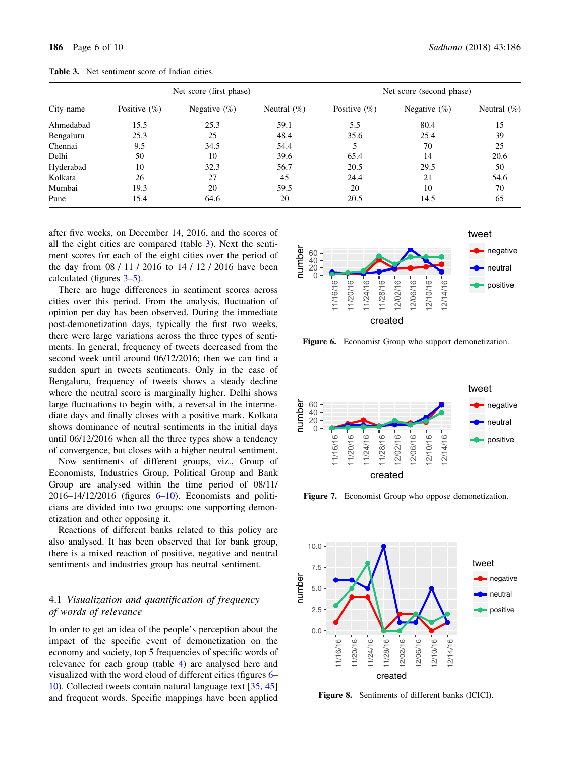| City name |                  | Net score (first phase) |                |                 | Net score (second phase) |                |
|-----------|------------------|-------------------------|----------------|-----------------|--------------------------|----------------|
|           | Positive $(\% )$ | Negative $(\% )$        | Neutral $(\%)$ | Positive $(\%)$ | Negative $(\% )$         | Neutral $(\%)$ |
| Ahmedabad | 15.5             | 25.3                    | 59.1           | 5.5             | 80.4                     | 15             |
| Bengaluru | 25.3             | 25                      | 48.4           | 35.6            | 25.4                     | 39             |
| Chennai   | 9.5              | 34.5                    | 54.4           | 5               | 70                       | 25             |
| Delhi     | 50               | 10                      | 39.6           | 65.4            | 14                       | 20.6           |
| Hyderabad | 10               | 32.3                    | 56.7           | 20.5            | 29.5                     | 50             |
| Kolkata   | 26               | 27                      | 45             | 24.4            | 21                       | 54.6           |
| Mumbai    | 19.3             | 20                      | 59.5           | 20              | 10                       | 70             |
| Pune      | 15.4             | 64.6                    | 20             | 20.5            | 14.5                     | 65             |

Table 3. Net sentiment score of Indian cities.

after five weeks, on December 14, 2016, and the scores of all the eight cities are compared (table 3). Next the sentiment scores for each of the eight cities over the period of the day from 08 / 11 / 2016 to 14 / 12 / 2016 have been calculated (figures [3–5\)](#page-4-0).

There are huge differences in sentiment scores across cities over this period. From the analysis, fluctuation of opinion per day has been observed. During the immediate post-demonetization days, typically the first two weeks, there were large variations across the three types of sentiments. In general, frequency of tweets decreased from the second week until around 06/12/2016; then we can find a sudden spurt in tweets sentiments. Only in the case of Bengaluru, frequency of tweets shows a steady decline where the neutral score is marginally higher. Delhi shows large fluctuations to begin with, a reversal in the intermediate days and finally closes with a positive mark. Kolkata shows dominance of neutral sentiments in the initial days until 06/12/2016 when all the three types show a tendency of convergence, but closes with a higher neutral sentiment.

Now sentiments of different groups, viz., Group of Economists, Industries Group, Political Group and Bank Group are analysed within the time period of 08/11/ 2016–14/12/2016 (figures 6–[10\)](#page-6-0). Economists and politicians are divided into two groups: one supporting demonetization and other opposing it.

Reactions of different banks related to this policy are also analysed. It has been observed that for bank group, there is a mixed reaction of positive, negative and neutral sentiments and industries group has neutral sentiment.

# 4.1 Visualization and quantification of frequency of words of relevance

In order to get an idea of the people's perception about the impact of the specific event of demonetization on the economy and society, top 5 frequencies of specific words of relevance for each group (table [4\)](#page-6-0) are analysed here and visualized with the word cloud of different cities (figures 6– [10](#page-6-0)). Collected tweets contain natural language text [\[35](#page-9-0), [45](#page-9-0)] and frequent words. Specific mappings have been applied



Figure 6. Economist Group who support demonetization.



Figure 7. Economist Group who oppose demonetization.



Figure 8. Sentiments of different banks (ICICI).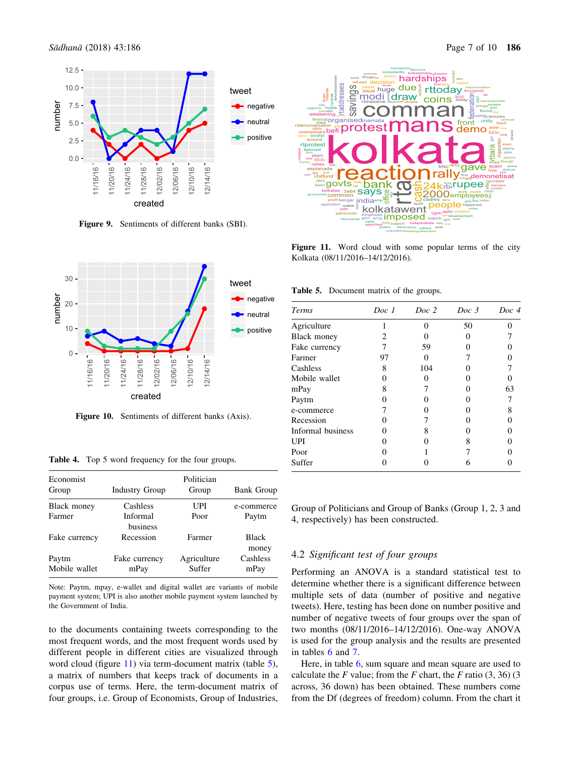<span id="page-6-0"></span>

Figure 9. Sentiments of different banks (SBI).



Figure 10. Sentiments of different banks (Axis).

Table 4. Top 5 word frequency for the four groups.

| Economist<br>Group     | <b>Industry Group</b> | Politician<br>Group   | <b>Bank Group</b>     |  |
|------------------------|-----------------------|-----------------------|-----------------------|--|
| Black money            | Cashless              | UPI                   | e-commerce            |  |
| Farmer                 | Informal<br>business  | Poor                  | Paytm                 |  |
| Fake currency          | Recession             | Farmer                | <b>Black</b><br>money |  |
| Paytm<br>Mobile wallet | Fake currency<br>mPay | Agriculture<br>Suffer | Cashless<br>mPay      |  |

Note: Paytm, mpay, e-wallet and digital wallet are variants of mobile payment system; UPI is also another mobile payment system launched by the Government of India.

to the documents containing tweets corresponding to the most frequent words, and the most frequent words used by different people in different cities are visualized through word cloud (figure 11) via term-document matrix (table 5), a matrix of numbers that keeps track of documents in a corpus use of terms. Here, the term-document matrix of four groups, i.e. Group of Economists, Group of Industries,



Figure 11. Word cloud with some popular terms of the city Kolkata (08/11/2016–14/12/2016).

Table 5. Document matrix of the groups.

| <b>Terms</b>      | Doc 1             | Doc 2 | Doc 3 | Doc 4 |
|-------------------|-------------------|-------|-------|-------|
| Agriculture       |                   | 0     | 50    | ∩     |
| Black money       | 2                 |       |       |       |
| Fake currency     |                   | 59    |       |       |
| Farmer            | 97                |       |       |       |
| Cashless          | 8                 | 104   |       |       |
| Mobile wallet     | $\mathbf{\Omega}$ |       |       |       |
| mPay              | 8                 |       |       | 63    |
| Paytm             |                   |       |       |       |
| e-commerce        |                   |       |       | 8     |
| Recession         |                   |       |       |       |
| Informal business |                   | 8     |       |       |
| UPI               |                   |       | 8     |       |
| Poor              |                   |       |       |       |
| Suffer            |                   |       |       |       |

Group of Politicians and Group of Banks (Group 1, 2, 3 and 4, respectively) has been constructed.

## 4.2 Significant test of four groups

Performing an ANOVA is a standard statistical test to determine whether there is a significant difference between multiple sets of data (number of positive and negative tweets). Here, testing has been done on number positive and number of negative tweets of four groups over the span of two months (08/11/2016–14/12/2016). One-way ANOVA is used for the group analysis and the results are presented in tables [6](#page-7-0) and [7.](#page-7-0)

Here, in table [6](#page-7-0), sum square and mean square are used to calculate the F value; from the F chart, the F ratio  $(3, 36)$   $(3, 37)$ across, 36 down) has been obtained. These numbers come from the Df (degrees of freedom) column. From the chart it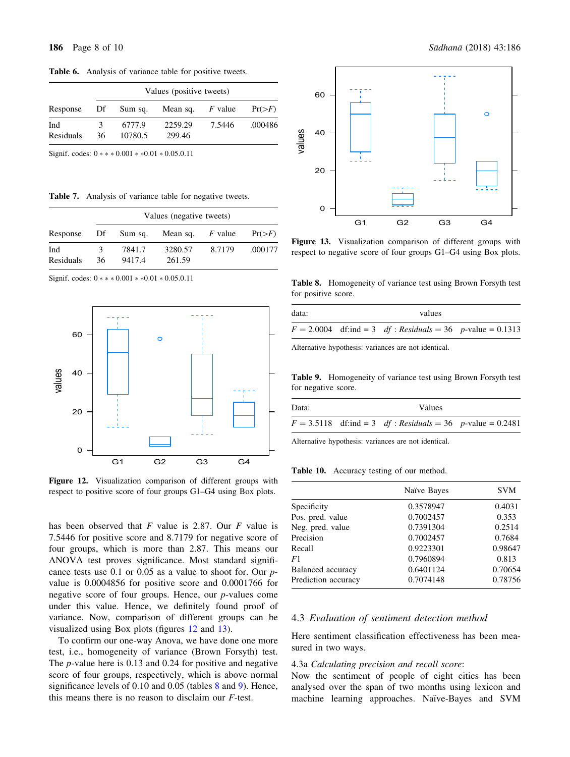<span id="page-7-0"></span>Table 6. Analysis of variance table for positive tweets.

|                  |    |                   | Values (positive tweets) |        |              |
|------------------|----|-------------------|--------------------------|--------|--------------|
| Response         | Df | Sum sq.           | Mean sq. $F$ value       |        | $Pr(\geq F)$ |
| Ind<br>Residuals | 36 | 6777.9<br>10780.5 | 2259.29<br>299.46        | 7.5446 | .000486      |

Signif. codes:  $0$  \* \* \* 0.001 \* \* 0.01 \* 0.05.0.11

Table 7. Analysis of variance table for negative tweets.

| Values (negative tweets) |         |                  |                    |        |              |  |
|--------------------------|---------|------------------|--------------------|--------|--------------|--|
| Response Df              |         | Sum sq.          | Mean sq. $F$ value |        | $Pr(\geq F)$ |  |
| Ind<br>Residuals         | 3<br>36 | 7841.7<br>9417.4 | 3280.57<br>261.59  | 8.7179 | .000177      |  |

Signif. codes:  $0$  \* \* \* 0.001 \* \* 0.01 \* 0.05:0.11



Figure 12. Visualization comparison of different groups with respect to positive score of four groups G1–G4 using Box plots.

has been observed that  $F$  value is 2.87. Our  $F$  value is 7.5446 for positive score and 8.7179 for negative score of four groups, which is more than 2.87. This means our ANOVA test proves significance. Most standard significance tests use 0.1 or 0.05 as a value to shoot for. Our pvalue is 0.0004856 for positive score and 0.0001766 for negative score of four groups. Hence, our p-values come under this value. Hence, we definitely found proof of variance. Now, comparison of different groups can be visualized using Box plots (figures 12 and 13).

To confirm our one-way Anova, we have done one more test, i.e., homogeneity of variance (Brown Forsyth) test. The p-value here is 0.13 and 0.24 for positive and negative score of four groups, respectively, which is above normal significance levels of 0.10 and 0.05 (tables 8 and 9). Hence, this means there is no reason to disclaim our F-test.



Figure 13. Visualization comparison of different groups with respect to negative score of four groups G1–G4 using Box plots.

Table 8. Homogeneity of variance test using Brown Forsyth test for positive score.

| data: | values                                                       |  |
|-------|--------------------------------------------------------------|--|
|       | $F = 2.0004$ df:ind = 3 df : Residuals = 36 p-value = 0.1313 |  |

Alternative hypothesis: variances are not identical.

Table 9. Homogeneity of variance test using Brown Forsyth test for negative score.

| Data: | Values                                                       |  |
|-------|--------------------------------------------------------------|--|
|       | $F = 3.5118$ df:ind = 3 df : Residuals = 36 p-value = 0.2481 |  |

Alternative hypothesis: variances are not identical.

Table 10. Accuracy testing of our method.

|                     | Naïve Bayes | <b>SVM</b> |
|---------------------|-------------|------------|
| Specificity         | 0.3578947   | 0.4031     |
| Pos. pred. value    | 0.7002457   | 0.353      |
| Neg. pred. value    | 0.7391304   | 0.2514     |
| Precision           | 0.7002457   | 0.7684     |
| Recall              | 0.9223301   | 0.98647    |
| F1                  | 0.7960894   | 0.813      |
| Balanced accuracy   | 0.6401124   | 0.70654    |
| Prediction accuracy | 0.7074148   | 0.78756    |

#### 4.3 Evaluation of sentiment detection method

Here sentiment classification effectiveness has been measured in two ways.

#### 4.3a Calculating precision and recall score:

Now the sentiment of people of eight cities has been analysed over the span of two months using lexicon and machine learning approaches. Naïve-Bayes and SVM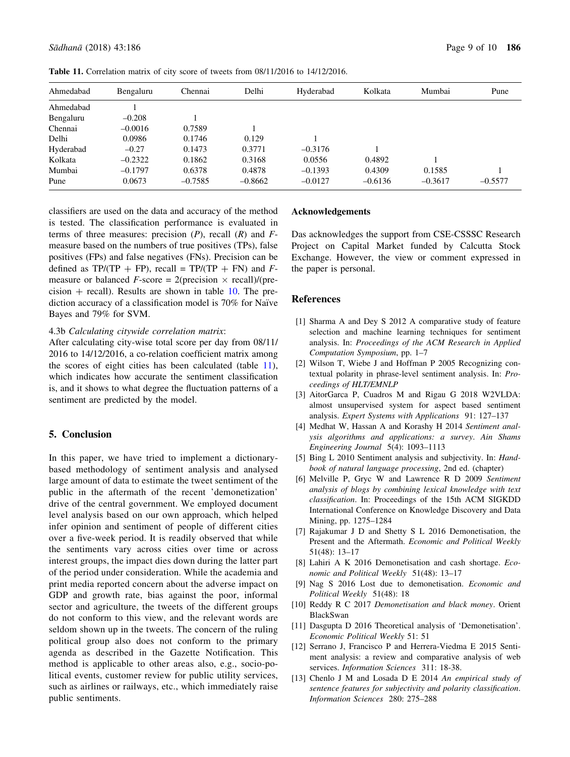| Ahmedabad | Bengaluru | Chennai   | Delhi     | Hyderabad | Kolkata   | Mumbai    | Pune      |
|-----------|-----------|-----------|-----------|-----------|-----------|-----------|-----------|
| Ahmedabad |           |           |           |           |           |           |           |
| Bengaluru | $-0.208$  |           |           |           |           |           |           |
| Chennai   | $-0.0016$ | 0.7589    |           |           |           |           |           |
| Delhi     | 0.0986    | 0.1746    | 0.129     |           |           |           |           |
| Hyderabad | $-0.27$   | 0.1473    | 0.3771    | $-0.3176$ |           |           |           |
| Kolkata   | $-0.2322$ | 0.1862    | 0.3168    | 0.0556    | 0.4892    |           |           |
| Mumbai    | $-0.1797$ | 0.6378    | 0.4878    | $-0.1393$ | 0.4309    | 0.1585    |           |
| Pune      | 0.0673    | $-0.7585$ | $-0.8662$ | $-0.0127$ | $-0.6136$ | $-0.3617$ | $-0.5577$ |

<span id="page-8-0"></span>Table 11. Correlation matrix of city score of tweets from 08/11/2016 to 14/12/2016.

classifiers are used on the data and accuracy of the method is tested. The classification performance is evaluated in terms of three measures: precision  $(P)$ , recall  $(R)$  and  $F$ measure based on the numbers of true positives (TPs), false positives (FPs) and false negatives (FNs). Precision can be defined as TP/(TP + FP), recall = TP/(TP + FN) and  $F$ measure or balanced *F*-score = 2(precision  $\times$  recall)/(precision  $+$  recall). Results are shown in table [10](#page-7-0). The prediction accuracy of a classification model is 70% for Naïve Bayes and 79% for SVM.

#### 4.3b Calculating citywide correlation matrix:

After calculating city-wise total score per day from 08/11/ 2016 to 14/12/2016, a co-relation coefficient matrix among the scores of eight cities has been calculated (table  $11$ ), which indicates how accurate the sentiment classification is, and it shows to what degree the fluctuation patterns of a sentiment are predicted by the model.

## 5. Conclusion

In this paper, we have tried to implement a dictionarybased methodology of sentiment analysis and analysed large amount of data to estimate the tweet sentiment of the public in the aftermath of the recent 'demonetization' drive of the central government. We employed document level analysis based on our own approach, which helped infer opinion and sentiment of people of different cities over a five-week period. It is readily observed that while the sentiments vary across cities over time or across interest groups, the impact dies down during the latter part of the period under consideration. While the academia and print media reported concern about the adverse impact on GDP and growth rate, bias against the poor, informal sector and agriculture, the tweets of the different groups do not conform to this view, and the relevant words are seldom shown up in the tweets. The concern of the ruling political group also does not conform to the primary agenda as described in the Gazette Notification. This method is applicable to other areas also, e.g., socio-political events, customer review for public utility services, such as airlines or railways, etc., which immediately raise public sentiments.

#### Acknowledgements

Das acknowledges the support from CSE-CSSSC Research Project on Capital Market funded by Calcutta Stock Exchange. However, the view or comment expressed in the paper is personal.

# References

- [1] Sharma A and Dey S 2012 A comparative study of feature selection and machine learning techniques for sentiment analysis. In: Proceedings of the ACM Research in Applied Computation Symposium, pp. 1–7
- [2] Wilson T, Wiebe J and Hoffman P 2005 Recognizing contextual polarity in phrase-level sentiment analysis. In: Proceedings of HLT/EMNLP
- [3] AitorGarca P, Cuadros M and Rigau G 2018 W2VLDA: almost unsupervised system for aspect based sentiment analysis. Expert Systems with Applications 91: 127–137
- [4] Medhat W, Hassan A and Korashy H 2014 Sentiment analysis algorithms and applications: a survey. Ain Shams Engineering Journal 5(4): 1093–1113
- [5] Bing L 2010 Sentiment analysis and subjectivity. In: Handbook of natural language processing, 2nd ed. (chapter)
- [6] Melville P, Gryc W and Lawrence R D 2009 Sentiment analysis of blogs by combining lexical knowledge with text classification. In: Proceedings of the 15th ACM SIGKDD International Conference on Knowledge Discovery and Data Mining, pp. 1275–1284
- [7] Rajakumar J D and Shetty S L 2016 Demonetisation, the Present and the Aftermath. Economic and Political Weekly 51(48): 13–17
- [8] Lahiri A K 2016 Demonetisation and cash shortage. Economic and Political Weekly 51(48): 13–17
- [9] Nag S 2016 Lost due to demonetisation. Economic and Political Weekly 51(48): 18
- [10] Reddy R C 2017 Demonetisation and black money. Orient BlackSwan
- [11] Dasgupta D 2016 Theoretical analysis of 'Demonetisation'. Economic Political Weekly 51: 51
- [12] Serrano J, Francisco P and Herrera-Viedma E 2015 Sentiment analysis: a review and comparative analysis of web services. Information Sciences 311: 18-38.
- [13] Chenlo J M and Losada D E 2014 An empirical study of sentence features for subjectivity and polarity classification. Information Sciences 280: 275–288